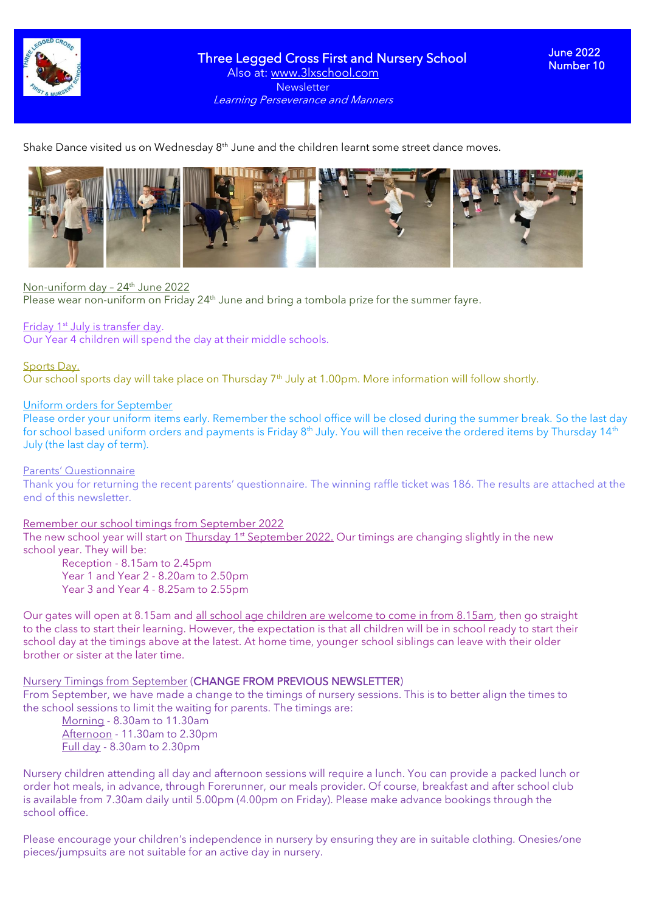

Three Legged Cross First and Nursery School Also at: www.3lxschool.com **Newsletter** Learning Perseverance and Manners

Shake Dance visited us on Wednesday  $8<sup>th</sup>$  June and the children learnt some street dance moves.



#### Non-uniform day - 24<sup>th</sup> June 2022

Please wear non-uniform on Friday 24<sup>th</sup> June and bring a tombola prize for the summer fayre.

### Friday 1<sup>st</sup> July is transfer day.

Our Year 4 children will spend the day at their middle schools.

### Sports Day.

Our school sports day will take place on Thursday 7<sup>th</sup> July at 1.00pm. More information will follow shortly.

#### Uniform orders for September

Please order your uniform items early. Remember the school office will be closed during the summer break. So the last day for school based uniform orders and payments is Friday  $8<sup>th</sup>$  July. You will then receive the ordered items by Thursday 14<sup>th</sup> July (the last day of term).

#### Parents' Questionnaire

Thank you for returning the recent parents' questionnaire. The winning raffle ticket was 186. The results are attached at the end of this newsletter.

### Remember our school timings from September 2022

The new school year will start on Thursday 1<sup>st</sup> September 2022. Our timings are changing slightly in the new school year. They will be:

Reception - 8.15am to 2.45pm Year 1 and Year 2 - 8.20am to 2.50pm Year 3 and Year 4 - 8.25am to 2.55pm

Our gates will open at 8.15am and all school age children are welcome to come in from 8.15am, then go straight to the class to start their learning. However, the expectation is that all children will be in school ready to start their school day at the timings above at the latest. At home time, younger school siblings can leave with their older brother or sister at the later time.

#### Nursery Timings from September (CHANGE FROM PREVIOUS NEWSLETTER)

From September, we have made a change to the timings of nursery sessions. This is to better align the times to the school sessions to limit the waiting for parents. The timings are:

Morning - 8.30am to 11.30am Afternoon - 11.30am to 2.30pm Full day - 8.30am to 2.30pm

Nursery children attending all day and afternoon sessions will require a lunch. You can provide a packed lunch or order hot meals, in advance, through Forerunner, our meals provider. Of course, breakfast and after school club is available from 7.30am daily until 5.00pm (4.00pm on Friday). Please make advance bookings through the school office.

Please encourage your children's independence in nursery by ensuring they are in suitable clothing. Onesies/one pieces/jumpsuits are not suitable for an active day in nursery.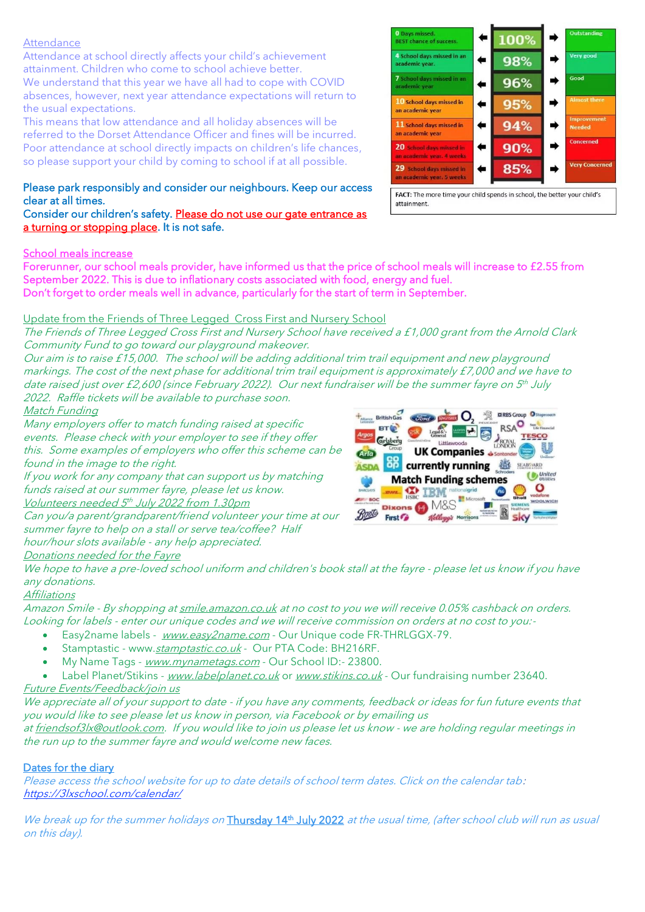## **Attendance**

Attendance at school directly affects your child's achievement attainment. Children who come to school achieve better. We understand that this year we have all had to cope with COVID absences, however, next year attendance expectations will return to the usual expectations.

This means that low attendance and all holiday absences will be referred to the Dorset Attendance Officer and fines will be incurred. Poor attendance at school directly impacts on children's life chances, so please support your child by coming to school if at all possible.

## Please park responsibly and consider our neighbours. Keep our access clear at all times.

Consider our children's safety. Please do not use our gate entrance as a turning or stopping place. It is not safe.

## School meals increase

Forerunner, our school meals provider, have informed us that the price of school meals will increase to £2.55 from September 2022. This is due to inflationary costs associated with food, energy and fuel. Don't forget to order meals well in advance, particularly for the start of term in September.

# Update from the Friends of Three Legged Cross First and Nursery School

The Friends of Three Legged Cross First and Nursery School have received <sup>a</sup> £1,000 grant from the Arnold Clark Community Fund to go toward our playground makeover.

Our aim is to raise £15,000. The school will be adding additional trim trail equipment and new playground markings. The cost of the next phase for additional trim trail equipment is approximately £7,000 and we have to date raised just over £2,600 (since February 2022). Our next fundraiser will be the summer fayre on 5th July 2022. Raffle tickets will be available to purchase soon.

## Match Funding

Many employers offer to match funding raised at specific events. Please check with your employer to see if they offer this. Some examples of employers who offer this scheme can be found in the image to the right.

If you work for any company that can support us by matching funds raised at our summer fayre, please let us know. Volunteers needed 5 th July 2022 from 1.30pm

Can you/a parent/grandparent/friend volunteer your time at our summer fayre to help on a stall or serve tea/coffee? Half hour/hour slots available - any help appreciated.

## Donations needed for the Fayre



We hope to have a pre-loved school uniform and children's book stall at the fayre - please let us know if you have any donations.

## **Affiliations**

Amazon Smile - By shopping at [smile.amazon.co.uk](http://smile.amazon.co.uk/) at no cost to you we will receive 0.05% cashback on orders. Looking for labels - enter our unique codes and we will receive commission on orders at no cost to you:-

- Easy2name labels [www.easy2name.com](http://www.easy2name.com/) Our Unique code FR-THRLGGX-79.
- Stamptastic www.[stamptastic.co.uk](https://stamptastic.co.uk/pages/school-welcome#a_aid=626e59cad3090) Our PTA Code: BH216RF.
- My Name Tags [www.mynametags.com](https://www.mynametags.com/) Our School ID:- 23800.
- Label Planet/Stikins [www.labelplanet.co.uk](http://www.labelplanet.co.uk/) or [www.stikins.co.uk](http://www.stikins.co.uk/) Our fundraising number 23640.

# Future Events/Feedback/join us

We appreciate all of your support to date - if you have any comments, feedback or ideas for fun future events that you would like to see please let us know in person, via Facebook or by emailing us

at [friendsof3lx@outlook.com.](mailto:friendsof3lx@outlook.com) If you would like to join us please let us know - we are holding regular meetings in the run up to the summer fayre and would welcome new faces.

# Dates for the diary

Please access the school website for up to date details of school term dates. Click on the calendar tab: <https://3lxschool.com/calendar/>

We break up for the summer holidays on Thursday 14<sup>th</sup> July 2022 at the usual time, (after school club will run as usual on this day).



attainment.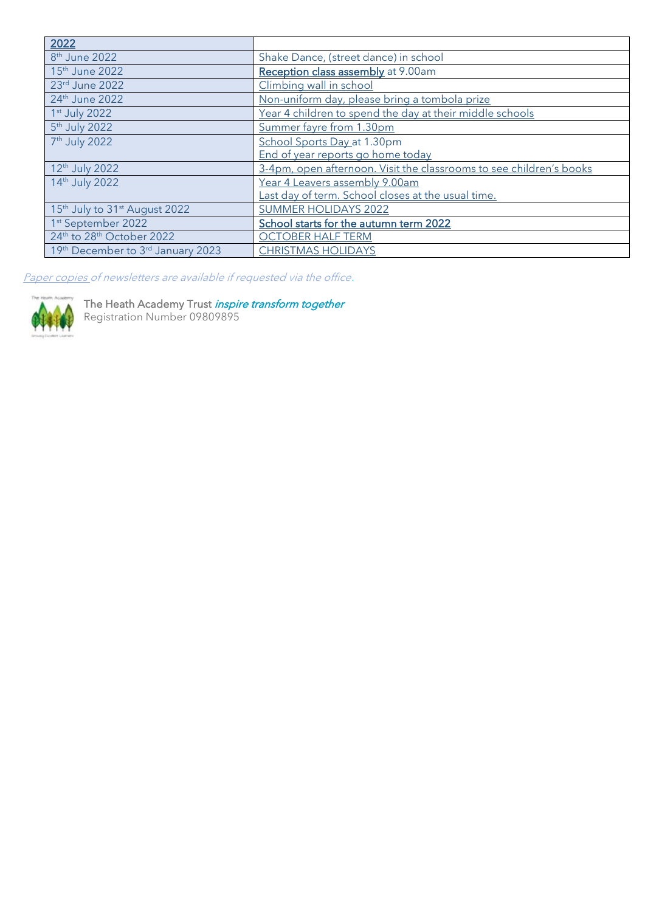| 2022                                                  |                                                                     |  |  |  |
|-------------------------------------------------------|---------------------------------------------------------------------|--|--|--|
| 8 <sup>th</sup> June 2022                             | Shake Dance, (street dance) in school                               |  |  |  |
| 15 <sup>th</sup> June 2022                            | Reception class assembly at 9.00am                                  |  |  |  |
| 23rd June 2022                                        | Climbing wall in school                                             |  |  |  |
| 24th June 2022                                        | Non-uniform day, please bring a tombola prize                       |  |  |  |
| 1st July 2022                                         | Year 4 children to spend the day at their middle schools            |  |  |  |
| 5 <sup>th</sup> July 2022                             | Summer fayre from 1.30pm                                            |  |  |  |
| 7 <sup>th</sup> July 2022                             | School Sports Day at 1.30pm                                         |  |  |  |
|                                                       | End of year reports go home today                                   |  |  |  |
| 12 <sup>th</sup> July 2022                            | 3-4pm, open afternoon. Visit the classrooms to see children's books |  |  |  |
| 14th July 2022                                        | Year 4 Leavers assembly 9.00am                                      |  |  |  |
|                                                       | Last day of term. School closes at the usual time.                  |  |  |  |
| 15 <sup>th</sup> July to 31 <sup>st</sup> August 2022 | <b>SUMMER HOLIDAYS 2022</b>                                         |  |  |  |
| 1st September 2022                                    | School starts for the autumn term 2022                              |  |  |  |
| 24th to 28th October 2022                             | <b>OCTOBER HALF TERM</b>                                            |  |  |  |
| 19th December to 3rd January 2023                     | <b>CHRISTMAS HOLIDAYS</b>                                           |  |  |  |

Paper copies of newsletters are available if requested via the office.



The Heath Academy Trust *inspire transform together* Registration Number 09809895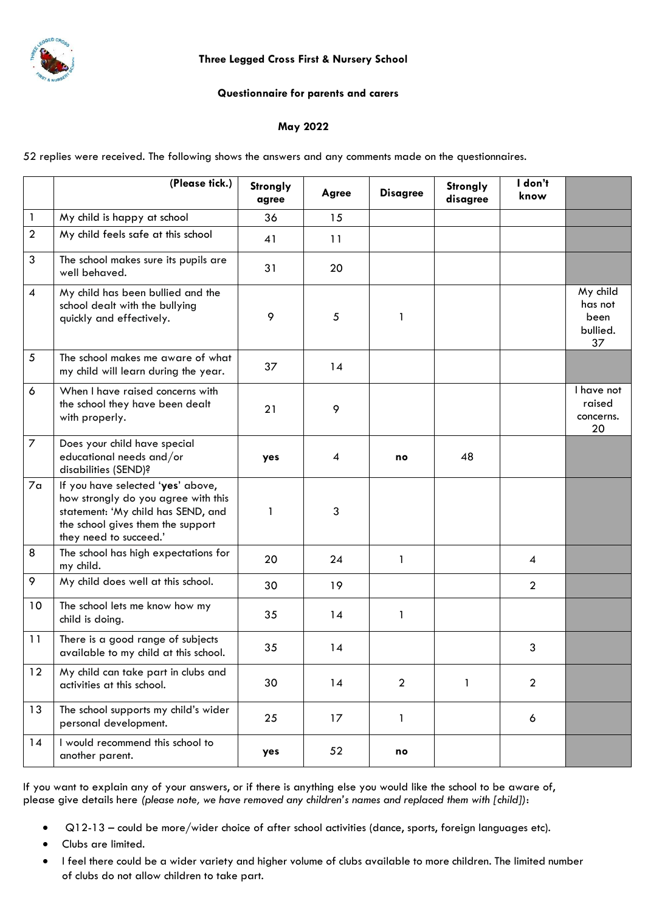

## **Three Legged Cross First & Nursery School**

## **Questionnaire for parents and carers**

## **May 2022**

52 replies were received. The following shows the answers and any comments made on the questionnaires.

|                | (Please tick.)                                                                                                                                                                | Strongly<br>agree | Agree | <b>Disagree</b> | Strongly<br>disagree | I don't<br>know |                                               |
|----------------|-------------------------------------------------------------------------------------------------------------------------------------------------------------------------------|-------------------|-------|-----------------|----------------------|-----------------|-----------------------------------------------|
| $\mathbf{1}$   | My child is happy at school                                                                                                                                                   | 36                | 15    |                 |                      |                 |                                               |
| $\overline{2}$ | My child feels safe at this school                                                                                                                                            | 41                | 11    |                 |                      |                 |                                               |
| 3              | The school makes sure its pupils are<br>well behaved.                                                                                                                         | 31                | 20    |                 |                      |                 |                                               |
| $\overline{4}$ | My child has been bullied and the<br>school dealt with the bullying<br>quickly and effectively.                                                                               | 9                 | 5     | 1               |                      |                 | My child<br>has not<br>been<br>bullied.<br>37 |
| $5\,$          | The school makes me aware of what<br>my child will learn during the year.                                                                                                     | 37                | 14    |                 |                      |                 |                                               |
| 6              | When I have raised concerns with<br>the school they have been dealt<br>with properly.                                                                                         | 21                | 9     |                 |                      |                 | I have not<br>raised<br>concerns.<br>20       |
| $\overline{7}$ | Does your child have special<br>educational needs and/or<br>disabilities (SEND)?                                                                                              | yes               | 4     | no              | 48                   |                 |                                               |
| 7 <sub>a</sub> | If you have selected 'yes' above,<br>how strongly do you agree with this<br>statement: 'My child has SEND, and<br>the school gives them the support<br>they need to succeed.' | 1                 | 3     |                 |                      |                 |                                               |
| 8              | The school has high expectations for<br>my child.                                                                                                                             | 20                | 24    | $\mathbf{1}$    |                      | $\overline{4}$  |                                               |
| 9              | My child does well at this school.                                                                                                                                            | 30                | 19    |                 |                      | $\overline{2}$  |                                               |
| 10             | The school lets me know how my<br>child is doing.                                                                                                                             | 35                | 14    | 1               |                      |                 |                                               |
| 11             | There is a good range of subjects<br>available to my child at this school.                                                                                                    | 35                | 14    |                 |                      | 3               |                                               |
| 12             | My child can take part in clubs and<br>activities at this school.                                                                                                             | 30                | 14    | $\overline{2}$  | 1                    | $\overline{2}$  |                                               |
| 13             | The school supports my child's wider<br>personal development.                                                                                                                 | 25                | 17    | $\mathbf{1}$    |                      | 6               |                                               |
| 14             | I would recommend this school to<br>another parent.                                                                                                                           | yes               | 52    | no              |                      |                 |                                               |

If you want to explain any of your answers, or if there is anything else you would like the school to be aware of, please give details here *(please note, we have removed any children's names and replaced them with [child])*:

- Q12-13 could be more/wider choice of after school activities (dance, sports, foreign languages etc).
- Clubs are limited.
- I feel there could be a wider variety and higher volume of clubs available to more children. The limited number of clubs do not allow children to take part.